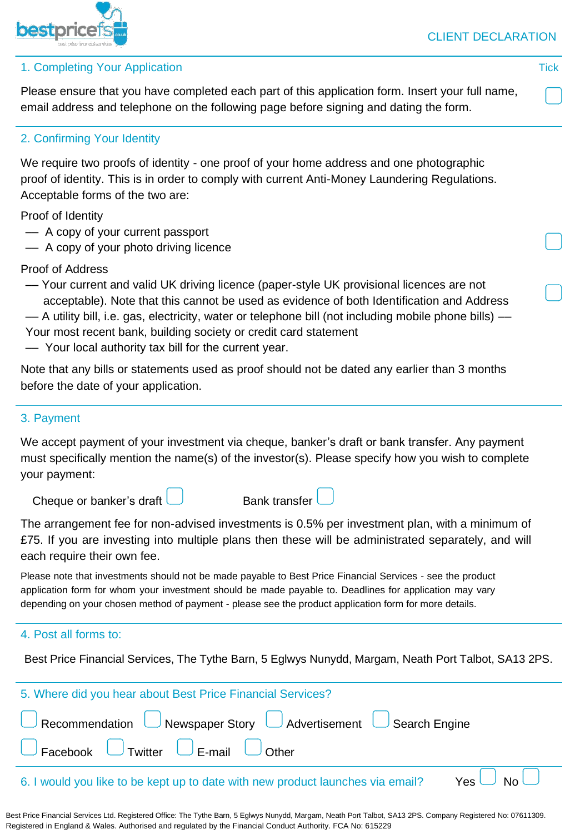

1. Completing Your Application Tick

Please ensure that you have completed each part of this application form. Insert your full name, email address and telephone on the following page before signing and dating the form.

# 2. Confirming Your Identity

We require two proofs of identity - one proof of your home address and one photographic proof of identity. This is in order to comply with current Anti-Money Laundering Regulations. Acceptable forms of the two are:

Proof of Identity

- –– A copy of your current passport
- –– A copy of your photo driving licence

Proof of Address

- –– Your current and valid UK driving licence (paper-style UK provisional licences are not acceptable). Note that this cannot be used as evidence of both Identification and Address
- –– A utility bill, i.e. gas, electricity, water or telephone bill (not including mobile phone bills) ––
- Your most recent bank, building society or credit card statement
- –– Your local authority tax bill for the current year.

| Note that any bills or statements used as proof should not be dated any earlier than 3 months |  |  |
|-----------------------------------------------------------------------------------------------|--|--|
| before the date of your application.                                                          |  |  |

## 3. Payment

We accept payment of your investment via cheque, banker's draft or bank transfer. Any payment must specifically mention the name(s) of the investor(s). Please specify how you wish to complete your payment:

Cheque or banker's draft  $\Box$ 

| 3ank transfer |  |
|---------------|--|
|               |  |

The arrangement fee for non-advised investments is 0.5% per investment plan, with a minimum of £75. If you are investing into multiple plans then these will be administrated separately, and will each require their own fee.

Please note that investments should not be made payable to Best Price Financial Services - see the product application form for whom your investment should be made payable to. Deadlines for application may vary depending on your chosen method of payment - please see the product application form for more details.

## 4. Post all forms to:

Best Price Financial Services, The Tythe Barn, 5 Eglwys Nunydd, Margam, Neath Port Talbot, SA13 2PS.

| 5. Where did you hear about Best Price Financial Services?                                                     |  |  |
|----------------------------------------------------------------------------------------------------------------|--|--|
| Recommendation Newspaper Story Advertisement Search Engine                                                     |  |  |
| $\Box$ Facebook $\Box$ Twitter $\Box$ E-mail $\Box$ Other                                                      |  |  |
| $\gamma$ es $\Box$ No $\Box$<br>6. I would you like to be kept up to date with new product launches via email? |  |  |

Best Price Financial Services Ltd. Registered Office: The Tythe Barn, 5 Eglwys Nunydd, Margam, Neath Port Talbot, SA13 2PS. Company Registered No: 07611309. Registered in England & Wales. Authorised and regulated by the Financial Conduct Authority. FCA No: 615229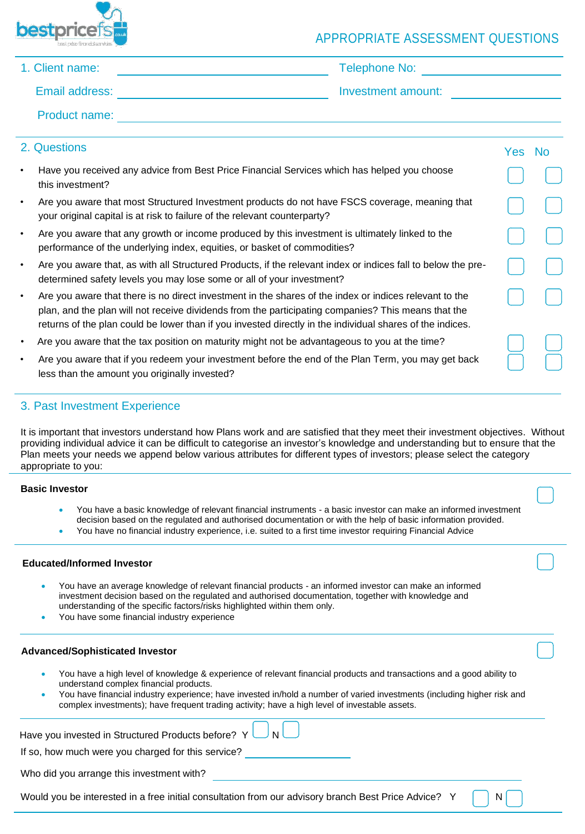

# APPROPRIATE ASSESSMENT QUESTIONS

### 1. Client name: Telephone No:

Email address: Investment amount:

Product name:

|           | 2. Questions                                                                                                                                                                                                                                                                                                               | Yes: | <b>No</b> |
|-----------|----------------------------------------------------------------------------------------------------------------------------------------------------------------------------------------------------------------------------------------------------------------------------------------------------------------------------|------|-----------|
| $\bullet$ | Have you received any advice from Best Price Financial Services which has helped you choose<br>this investment?                                                                                                                                                                                                            |      |           |
| $\bullet$ | Are you aware that most Structured Investment products do not have FSCS coverage, meaning that<br>your original capital is at risk to failure of the relevant counterparty?                                                                                                                                                |      |           |
| $\bullet$ | Are you aware that any growth or income produced by this investment is ultimately linked to the<br>performance of the underlying index, equities, or basket of commodities?                                                                                                                                                |      |           |
| $\bullet$ | Are you aware that, as with all Structured Products, if the relevant index or indices fall to below the pre-<br>determined safety levels you may lose some or all of your investment?                                                                                                                                      |      |           |
| $\bullet$ | Are you aware that there is no direct investment in the shares of the index or indices relevant to the<br>plan, and the plan will not receive dividends from the participating companies? This means that the<br>returns of the plan could be lower than if you invested directly in the individual shares of the indices. |      |           |
| $\bullet$ | Are you aware that the tax position on maturity might not be advantageous to you at the time?                                                                                                                                                                                                                              |      |           |
| $\bullet$ | Are you aware that if you redeem your investment before the end of the Plan Term, you may get back<br>less than the amount you originally invested?                                                                                                                                                                        |      |           |

### 3. Past Investment Experience

It is important that investors understand how Plans work and are satisfied that they meet their investment objectives. Without providing individual advice it can be difficult to categorise an investor's knowledge and understanding but to ensure that the Plan meets your needs we append below various attributes for different types of investors; please select the category appropriate to you:

#### **Basic Investor**

- You have a basic knowledge of relevant financial instruments a basic investor can make an informed investment decision based on the regulated and authorised documentation or with the help of basic information provided.
- You have no financial industry experience, i.e. suited to a first time investor requiring Financial Advice

#### **Educated/Informed Investor**

- You have an average knowledge of relevant financial products an informed investor can make an informed investment decision based on the regulated and authorised documentation, together with knowledge and understanding of the specific factors/risks highlighted within them only.
- You have some financial industry experience

#### **Advanced/Sophisticated Investor**

- You have a high level of knowledge & experience of relevant financial products and transactions and a good ability to understand complex financial products.
- You have financial industry experience; have invested in/hold a number of varied investments (including higher risk and complex investments); have frequent trading activity; have a high level of investable assets.

| Have you invested in Structured Products before? $Y \cup N$ |                                                                                                              |
|-------------------------------------------------------------|--------------------------------------------------------------------------------------------------------------|
| If so, how much were you charged for this service?          |                                                                                                              |
| Who did you arrange this investment with?                   |                                                                                                              |
|                                                             | Would you be interested in a free initial consultation from our advisory branch Best Price Advice? Y       N |